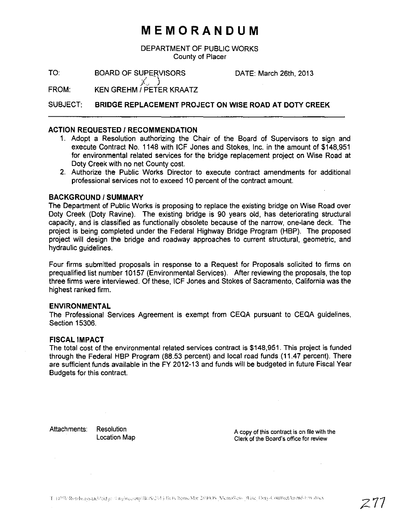# **MEMORANDUM**

DEPARTMENT OF PUBLIC WORKS County of Placer

TO: BOARD OF SUPERVISORS

DATE: March 26th, 2013

FROM:  $\mathcal{X}$  .  $\mathcal{Y}$ KEN GREHM I PETER KRAATZ

SUBJECT: **BRIDGE REPLACEMENT PROJECT ON WISE ROAD AT DOTV CREEK**

# **ACTION REQUESTED / RECOMMENDATION**

- 1. Adopt a Resolution authorizing the Chair of the Board of Supervisors to sign and execute Contract No. 1148 with ICF Jones and Stokes, Inc. in the amount of \$148,951 for environmental related services for the bridge replacement project on Wise Road at Doty Creek with no net County cost.
- 2. Authorize the Public Works Director to execute contract amendments for additional professional services not to exceed 10 percent of the contract amount.

# **BACKGROUND/SUMMARY**

The Department of Public Works is proposing to replace the existing bridge on Wise Road over Doty Creek (Doty Ravine). The existing bridge is 90 years old, has deteriorating structural capacity, and is classified as functionally obsolete because of the narrow, one-lane deck. The project is being completed under the Federal Highway Bridge Program (HBP). The proposed project will design the bridge and roadway approaches to current structural, geometric, and hydraulic guidelines.

Four firms submitted proposals in response to a Request for Proposals solicited to firms on prequalified list number 10157 (Environmental Services). After reviewing the proposals, the top three firms were interviewed. Of these, ICF Jones and Stokes of Sacramento, California was the highest ranked firm.

### **ENVIRONMENTAL**

The Professional Services Agreement is exempt from CEQA pursuant to CEQA guidelines, Section 15306.

### **FISCAL IMPACT**

The total cost of the environmental related services contract is \$148,951. This project is funded through the Federal HBP Program (88.53 percent) and local road funds (11.47 percent). There are sufficient funds available in the FY 2012-13 and funds will be budgeted in future Fiscal Year Budgets for this contract.

Attachments: Resolution

Location Map

A copy of this contract is on file with the Clerk of the Board's office for review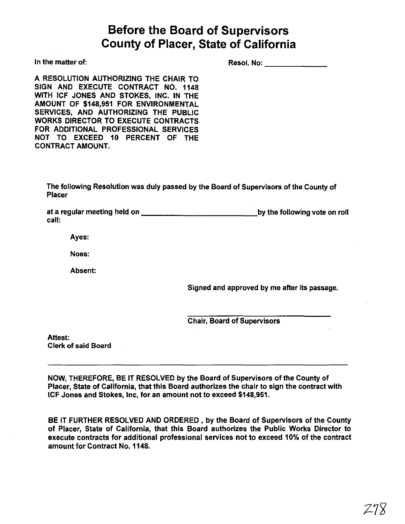# **Before the Board of Supervisors County of Placer, State of California**

In the matter of:

| Resol. No: |  | --- |
|------------|--|-----|
|------------|--|-----|

A RESOLUTION AUTHORIZING THE CHAIR TO SIGN AND EXECUTE CONTRACT NO. 1148 WITH ICF JONES AND STOKES, INC. IN THE AMOUNT OF \$148,951 FOR ENVIRONMENTAL SERVICES, AND AUTHORIZING THE PUBLIC WORKS DIRECTOR TO EXECUTE CONTRACTS FOR ADDITIONAL PROFESSIONAL SERVICES NOT TO EXCEED 10 PERCENT OF THE CONTRACT AMOUNT.

The following Resolution was duly passed by the Board of Supervisors of the County of Placer

at a regular meeting held on by the following vote on roll call:

Ayes:

Noes:

Absent:

Signed and approved by me after its passage.

Chair, Board of Supervisors

Attest:

Clerk of said Board

NOW, THEREFORE, BE IT RESOLVED by the Board of Supervisors of the County of Placer, State of California, that this Board authorizes the chair to sign the contract with ICF Jones and Stokes, Inc, for an amount not to exceed \$148,951.

BE IT FURTHER RESOLVED AND ORDERED, by the Board of Supervisors of the County of Placer, State of California, that this Board authorizes the Public Works Director to execute contracts for additional professional services not to exceed 10% of the contract amount for Contract No. 1148.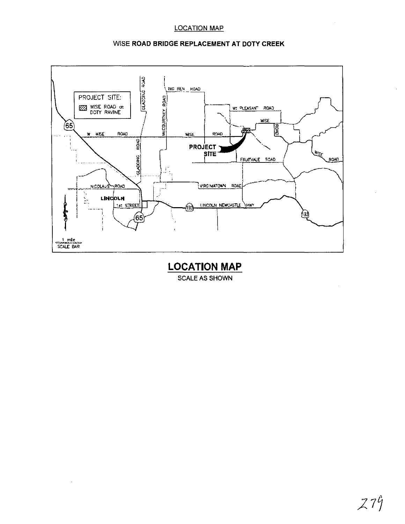# LOCATION **MAP**





**LOCATION MAP** SCALE AS SHOWN

 $\bar{z}$